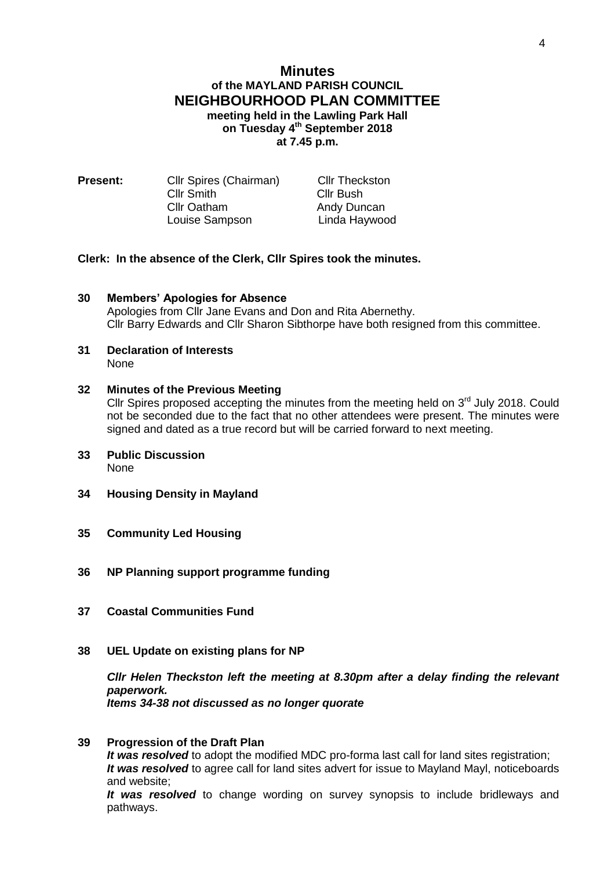# **Minutes of the MAYLAND PARISH COUNCIL NEIGHBOURHOOD PLAN COMMITTEE meeting held in the Lawling Park Hall on Tuesday 4 th September 2018 at 7.45 p.m.**

| <b>Present:</b> | Cllr Spires (Chairman) | <b>Cllr Theckston</b> |
|-----------------|------------------------|-----------------------|
|                 | <b>Cllr Smith</b>      | Cllr Bush             |
|                 | <b>Cllr Oatham</b>     | Andy Duncan           |
|                 | Louise Sampson         | Linda Haywood         |

### **Clerk: In the absence of the Clerk, Cllr Spires took the minutes.**

- **30 Members' Apologies for Absence** Apologies from Cllr Jane Evans and Don and Rita Abernethy. Cllr Barry Edwards and Cllr Sharon Sibthorpe have both resigned from this committee.
- **31 Declaration of Interests** None

## **32 Minutes of the Previous Meeting**

Cllr Spires proposed accepting the minutes from the meeting held on  $3<sup>rd</sup>$  July 2018. Could not be seconded due to the fact that no other attendees were present. The minutes were signed and dated as a true record but will be carried forward to next meeting.

- **33 Public Discussion** None
- **34 Housing Density in Mayland**
- **35 Community Led Housing**
- **36 NP Planning support programme funding**
- **37 Coastal Communities Fund**
- **38 UEL Update on existing plans for NP**

*Cllr Helen Theckston left the meeting at 8.30pm after a delay finding the relevant paperwork. Items 34-38 not discussed as no longer quorate*

### **39 Progression of the Draft Plan**

*It was resolved* to adopt the modified MDC pro-forma last call for land sites registration; *It was resolved* to agree call for land sites advert for issue to Mayland Mayl, noticeboards and website;

*It was resolved* to change wording on survey synopsis to include bridleways and pathways.